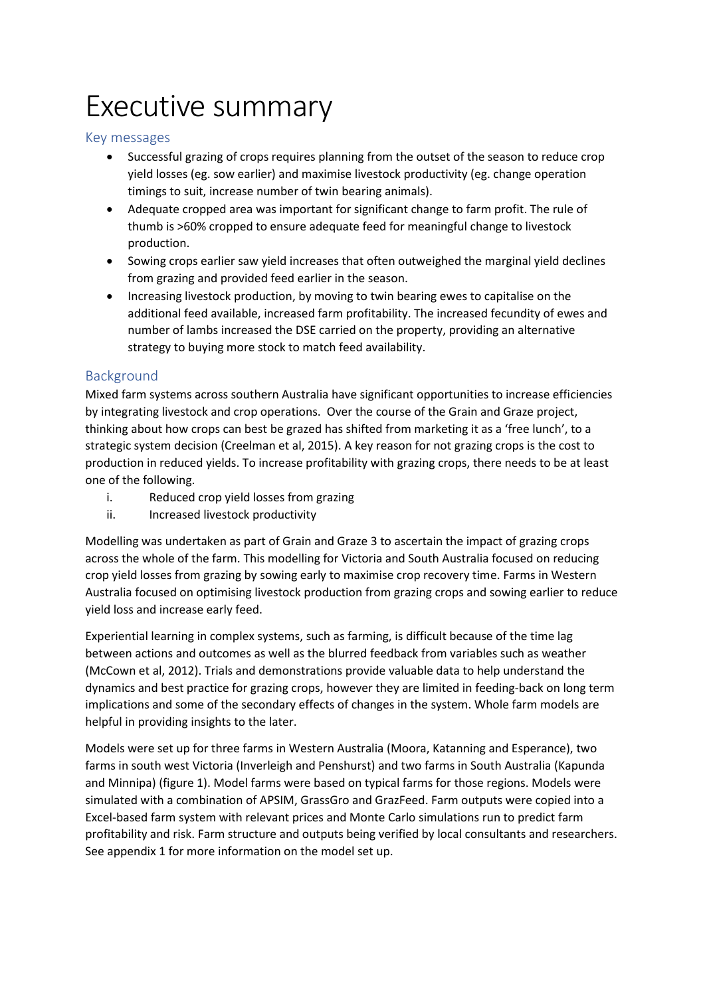# Executive summary

#### Key messages

- Successful grazing of crops requires planning from the outset of the season to reduce crop yield losses (eg. sow earlier) and maximise livestock productivity (eg. change operation timings to suit, increase number of twin bearing animals).
- Adequate cropped area was important for significant change to farm profit. The rule of thumb is >60% cropped to ensure adequate feed for meaningful change to livestock production.
- Sowing crops earlier saw yield increases that often outweighed the marginal yield declines from grazing and provided feed earlier in the season.
- Increasing livestock production, by moving to twin bearing ewes to capitalise on the additional feed available, increased farm profitability. The increased fecundity of ewes and number of lambs increased the DSE carried on the property, providing an alternative strategy to buying more stock to match feed availability.

#### Background

Mixed farm systems across southern Australia have significant opportunities to increase efficiencies by integrating livestock and crop operations. Over the course of the Grain and Graze project, thinking about how crops can best be grazed has shifted from marketing it as a 'free lunch', to a strategic system decision (Creelman et al, 2015). A key reason for not grazing crops is the cost to production in reduced yields. To increase profitability with grazing crops, there needs to be at least one of the following.

- i. Reduced crop yield losses from grazing
- ii. Increased livestock productivity

Modelling was undertaken as part of Grain and Graze 3 to ascertain the impact of grazing crops across the whole of the farm. This modelling for Victoria and South Australia focused on reducing crop yield losses from grazing by sowing early to maximise crop recovery time. Farms in Western Australia focused on optimising livestock production from grazing crops and sowing earlier to reduce yield loss and increase early feed.

Experiential learning in complex systems, such as farming, is difficult because of the time lag between actions and outcomes as well as the blurred feedback from variables such as weather (McCown et al, 2012). Trials and demonstrations provide valuable data to help understand the dynamics and best practice for grazing crops, however they are limited in feeding-back on long term implications and some of the secondary effects of changes in the system. Whole farm models are helpful in providing insights to the later.

Models were set up for three farms in Western Australia (Moora, Katanning and Esperance), two farms in south west Victoria (Inverleigh and Penshurst) and two farms in South Australia (Kapunda and Minnipa) (figure 1). Model farms were based on typical farms for those regions. Models were simulated with a combination of APSIM, GrassGro and GrazFeed. Farm outputs were copied into a Excel-based farm system with relevant prices and Monte Carlo simulations run to predict farm profitability and risk. Farm structure and outputs being verified by local consultants and researchers. See appendix 1 for more information on the model set up.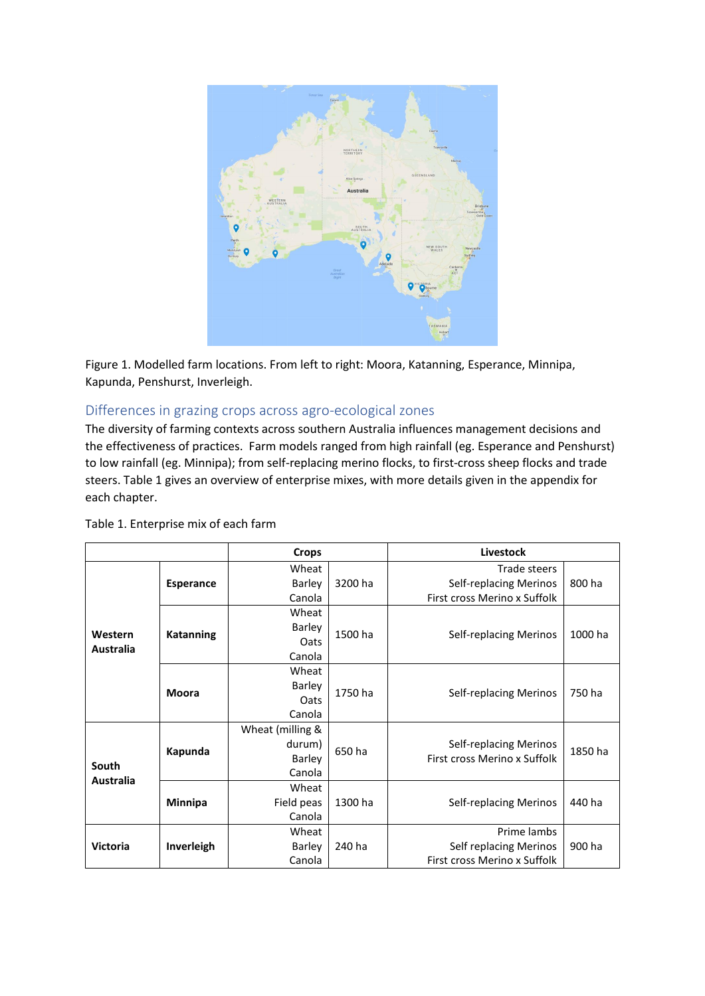

Figure 1. Modelled farm locations. From left to right: Moora, Katanning, Esperance, Minnipa, Kapunda, Penshurst, Inverleigh.

#### Differences in grazing crops across agro-ecological zones

The diversity of farming contexts across southern Australia influences management decisions and the effectiveness of practices. Farm models ranged from high rainfall (eg. Esperance and Penshurst) to low rainfall (eg. Minnipa); from self-replacing merino flocks, to first-cross sheep flocks and trade steers. Table 1 gives an overview of enterprise mixes, with more details given in the appendix for each chapter.

|                             |                  | <b>Crops</b>     |         | Livestock                     |         |
|-----------------------------|------------------|------------------|---------|-------------------------------|---------|
|                             |                  | Wheat            |         | Trade steers                  |         |
|                             | <b>Esperance</b> | Barley           | 3200 ha | Self-replacing Merinos        | 800 ha  |
|                             |                  | Canola           |         | First cross Merino x Suffolk  |         |
| Western<br><b>Australia</b> |                  | Wheat            |         |                               |         |
|                             | <b>Katanning</b> | <b>Barley</b>    | 1500 ha | Self-replacing Merinos        | 1000 ha |
|                             |                  | Oats             |         |                               |         |
|                             |                  | Canola           |         |                               |         |
|                             |                  | Wheat            |         |                               |         |
|                             | <b>Moora</b>     | Barley           | 1750 ha | Self-replacing Merinos        | 750 ha  |
|                             |                  | Oats             |         |                               |         |
|                             |                  | Canola           |         |                               |         |
|                             | Kapunda          | Wheat (milling & |         |                               |         |
|                             |                  | durum)           | 650 ha  | <b>Self-replacing Merinos</b> | 1850 ha |
| South                       |                  | Barley           |         | First cross Merino x Suffolk  |         |
| <b>Australia</b>            |                  | Canola           |         |                               |         |
|                             |                  | Wheat            |         |                               |         |
|                             | <b>Minnipa</b>   | Field peas       | 1300 ha | <b>Self-replacing Merinos</b> | 440 ha  |
|                             |                  | Canola           |         |                               |         |
|                             |                  | Wheat            |         | Prime lambs                   |         |
| <b>Victoria</b>             | Inverleigh       | Barley           | 240 ha  | <b>Self replacing Merinos</b> | 900 ha  |
|                             |                  | Canola           |         | First cross Merino x Suffolk  |         |

Table 1. Enterprise mix of each farm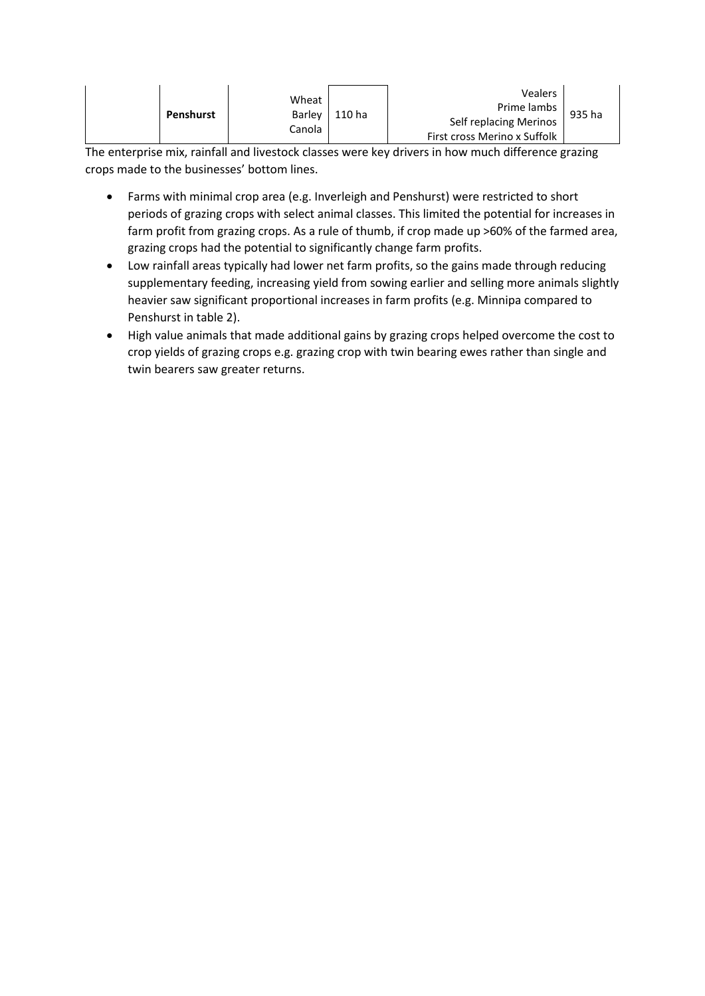|  | Penshurst | Wheat<br>Barley<br>Canola | 110 ha | <b>Vealers</b><br>Prime lambs  <br>Self replacing Merinos<br>First cross Merino x Suffolk | 935 ha |
|--|-----------|---------------------------|--------|-------------------------------------------------------------------------------------------|--------|
|--|-----------|---------------------------|--------|-------------------------------------------------------------------------------------------|--------|

The enterprise mix, rainfall and livestock classes were key drivers in how much difference grazing crops made to the businesses' bottom lines.

- Farms with minimal crop area (e.g. Inverleigh and Penshurst) were restricted to short periods of grazing crops with select animal classes. This limited the potential for increases in farm profit from grazing crops. As a rule of thumb, if crop made up >60% of the farmed area, grazing crops had the potential to significantly change farm profits.
- Low rainfall areas typically had lower net farm profits, so the gains made through reducing supplementary feeding, increasing yield from sowing earlier and selling more animals slightly heavier saw significant proportional increases in farm profits (e.g. Minnipa compared to Penshurst in table 2).
- High value animals that made additional gains by grazing crops helped overcome the cost to crop yields of grazing crops e.g. grazing crop with twin bearing ewes rather than single and twin bearers saw greater returns.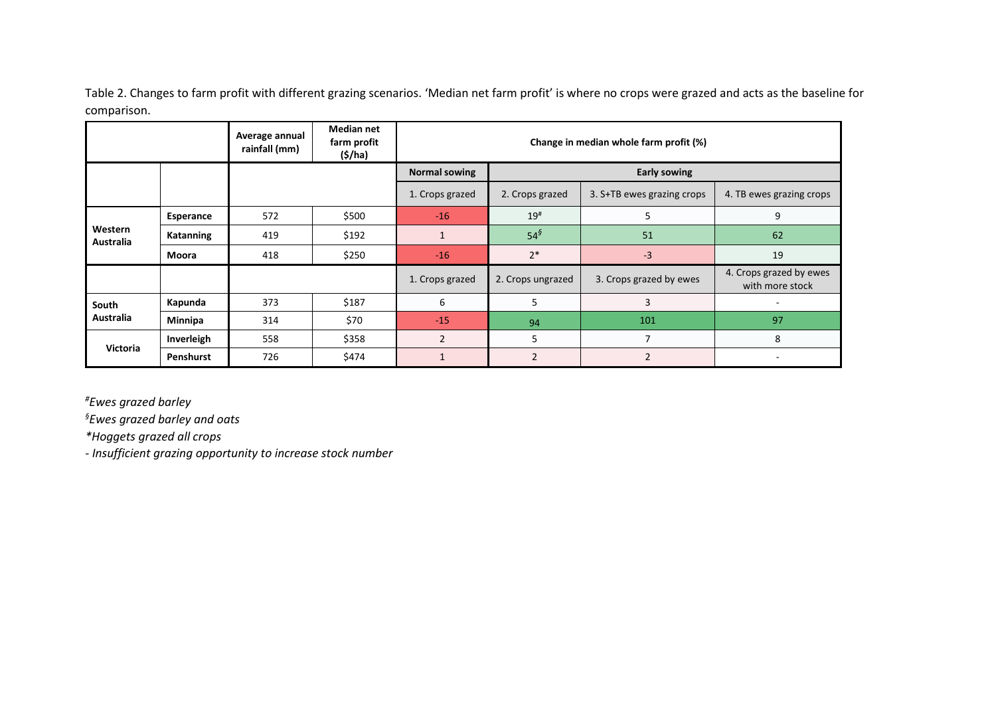Table 2. Changes to farm profit with different grazing scenarios. 'Median net farm profit' is where no crops were grazed and acts as the baseline for comparison.

|                      |                  | Average annual<br>rainfall (mm) | <b>Median net</b><br>farm profit<br>(S/ha) |                      | Change in median whole farm profit (%)                                    |                         |                                            |  |  |  |  |  |
|----------------------|------------------|---------------------------------|--------------------------------------------|----------------------|---------------------------------------------------------------------------|-------------------------|--------------------------------------------|--|--|--|--|--|
|                      |                  |                                 |                                            | <b>Normal sowing</b> | <b>Early sowing</b>                                                       |                         |                                            |  |  |  |  |  |
|                      |                  |                                 |                                            | 1. Crops grazed      | 3. S+TB ewes grazing crops<br>4. TB ewes grazing crops<br>2. Crops grazed |                         |                                            |  |  |  |  |  |
|                      | <b>Esperance</b> | 572                             | \$500                                      | $-16$                | 19#                                                                       | 5                       | 9                                          |  |  |  |  |  |
| Western<br>Australia | Katanning<br>419 |                                 | \$192                                      |                      | $54^{\circ}$                                                              | 51                      | 62                                         |  |  |  |  |  |
|                      | 418<br>Moora     |                                 | \$250                                      |                      | $2*$                                                                      | $-3$                    | 19                                         |  |  |  |  |  |
|                      |                  |                                 |                                            | 1. Crops grazed      | 2. Crops ungrazed                                                         | 3. Crops grazed by ewes | 4. Crops grazed by ewes<br>with more stock |  |  |  |  |  |
| South                | Kapunda          | 373                             | \$187                                      | 6                    | 5                                                                         | 3                       |                                            |  |  |  |  |  |
| Australia            | <b>Minnipa</b>   | 314                             | \$70                                       | $-15$                | 94                                                                        | 101                     | 97                                         |  |  |  |  |  |
| Victoria             | Inverleigh       | 558                             | \$358                                      | $\overline{2}$       | 5                                                                         | 7                       | 8                                          |  |  |  |  |  |
|                      | Penshurst        | \$474<br>726                    |                                            |                      | $\overline{2}$                                                            | $\overline{2}$          |                                            |  |  |  |  |  |

*#Ewes grazed barley* 

*§Ewes grazed barley and oats*

*\*Hoggets grazed all crops*

*- Insufficient grazing opportunity to increase stock number*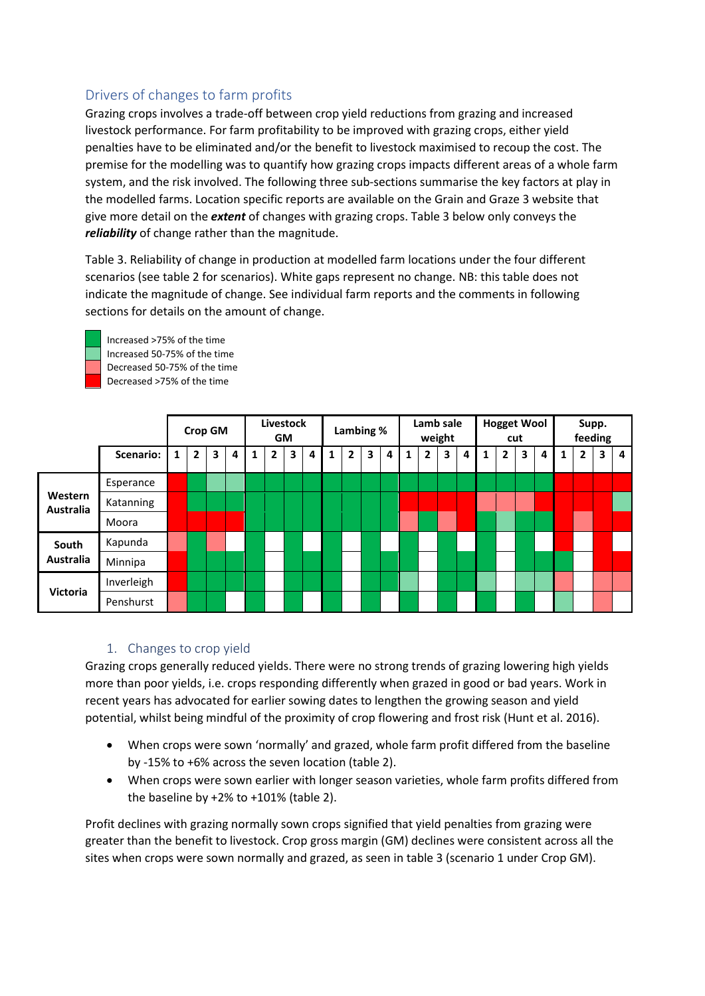#### Drivers of changes to farm profits

Grazing crops involves a trade-off between crop yield reductions from grazing and increased livestock performance. For farm profitability to be improved with grazing crops, either yield penalties have to be eliminated and/or the benefit to livestock maximised to recoup the cost. The premise for the modelling was to quantify how grazing crops impacts different areas of a whole farm system, and the risk involved. The following three sub-sections summarise the key factors at play in the modelled farms. Location specific reports are available on the Grain and Graze 3 website that give more detail on the *extent* of changes with grazing crops. Table 3 below only conveys the *reliability* of change rather than the magnitude.

Table 3. Reliability of change in production at modelled farm locations under the four different scenarios (see table 2 for scenarios). White gaps represent no change. NB: this table does not indicate the magnitude of change. See individual farm reports and the comments in following sections for details on the amount of change.



Increased >75% of the time Increased 50-75% of the time Decreased 50-75% of the time Decreased >75% of the time

|                             |            |   | <b>Livestock</b><br><b>Crop GM</b><br><b>GM</b> |   |   | Lambing %      |   |   | Lamb sale<br>weight |   |   |   | <b>Hogget Wool</b><br>cut |   |   |   | Supp.<br>feeding |              |   |   |   |   |   |   |
|-----------------------------|------------|---|-------------------------------------------------|---|---|----------------|---|---|---------------------|---|---|---|---------------------------|---|---|---|------------------|--------------|---|---|---|---|---|---|
|                             | Scenario:  | 1 | $\mathbf{2}$                                    | 3 | 4 | $\overline{2}$ | 3 | 4 | 1                   | 2 | 3 | 4 |                           | 2 | 3 | 4 | 1                | $\mathbf{2}$ | 3 | 4 | 1 | 2 | 3 | 4 |
|                             | Esperance  |   |                                                 |   |   |                |   |   |                     |   |   |   |                           |   |   |   |                  |              |   |   |   |   |   |   |
| Western<br><b>Australia</b> | Katanning  |   |                                                 |   |   |                |   |   |                     |   |   |   |                           |   |   |   |                  |              |   |   |   |   |   |   |
|                             | Moora      |   |                                                 |   |   |                |   |   |                     |   |   |   |                           |   |   |   |                  |              |   |   |   |   |   |   |
| South                       | Kapunda    |   |                                                 |   |   |                |   |   |                     |   |   |   |                           |   |   |   |                  |              |   |   |   |   |   |   |
| <b>Australia</b>            | Minnipa    |   |                                                 |   |   |                |   |   |                     |   |   |   |                           |   |   |   |                  |              |   |   |   |   |   |   |
|                             | Inverleigh |   |                                                 |   |   |                |   |   |                     |   |   |   |                           |   |   |   |                  |              |   |   |   |   |   |   |
| <b>Victoria</b>             | Penshurst  |   |                                                 |   |   |                |   |   |                     |   |   |   |                           |   |   |   |                  |              |   |   |   |   |   |   |

#### 1. Changes to crop yield

Grazing crops generally reduced yields. There were no strong trends of grazing lowering high yields more than poor yields, i.e. crops responding differently when grazed in good or bad years. Work in recent years has advocated for earlier sowing dates to lengthen the growing season and yield potential, whilst being mindful of the proximity of crop flowering and frost risk (Hunt et al. 2016).

- When crops were sown 'normally' and grazed, whole farm profit differed from the baseline by -15% to +6% across the seven location (table 2).
- When crops were sown earlier with longer season varieties, whole farm profits differed from the baseline by +2% to +101% (table 2).

Profit declines with grazing normally sown crops signified that yield penalties from grazing were greater than the benefit to livestock. Crop gross margin (GM) declines were consistent across all the sites when crops were sown normally and grazed, as seen in table 3 (scenario 1 under Crop GM).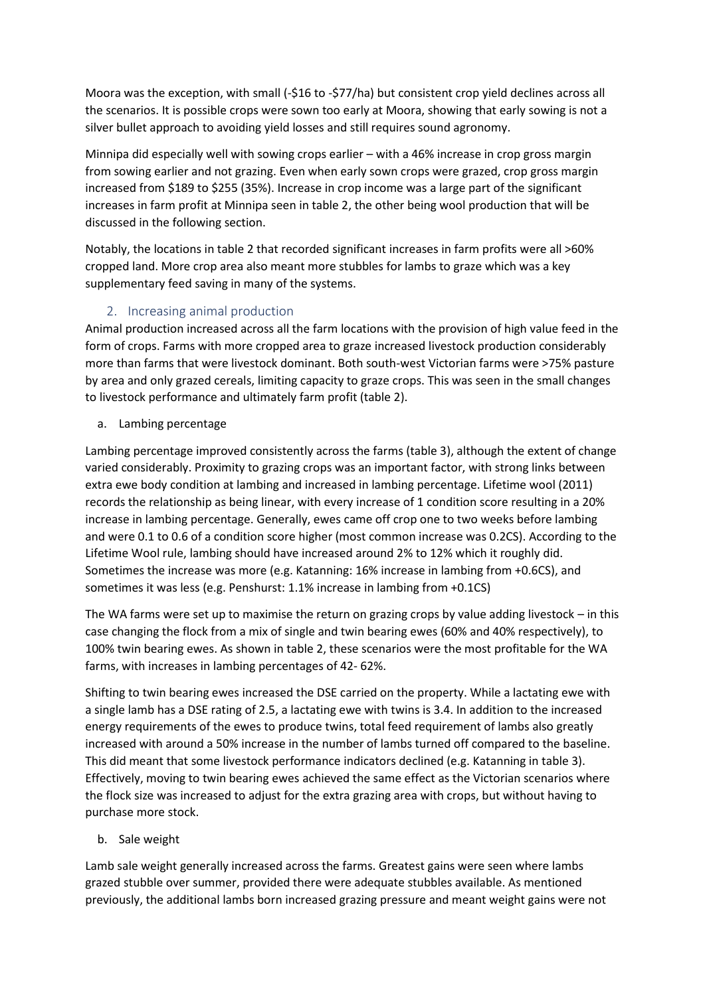Moora was the exception, with small (-\$16 to -\$77/ha) but consistent crop yield declines across all the scenarios. It is possible crops were sown too early at Moora, showing that early sowing is not a silver bullet approach to avoiding yield losses and still requires sound agronomy.

Minnipa did especially well with sowing crops earlier – with a 46% increase in crop gross margin from sowing earlier and not grazing. Even when early sown crops were grazed, crop gross margin increased from \$189 to \$255 (35%). Increase in crop income was a large part of the significant increases in farm profit at Minnipa seen in table 2, the other being wool production that will be discussed in the following section.

Notably, the locations in table 2 that recorded significant increases in farm profits were all >60% cropped land. More crop area also meant more stubbles for lambs to graze which was a key supplementary feed saving in many of the systems.

#### 2. Increasing animal production

Animal production increased across all the farm locations with the provision of high value feed in the form of crops. Farms with more cropped area to graze increased livestock production considerably more than farms that were livestock dominant. Both south-west Victorian farms were >75% pasture by area and only grazed cereals, limiting capacity to graze crops. This was seen in the small changes to livestock performance and ultimately farm profit (table 2).

a. Lambing percentage

Lambing percentage improved consistently across the farms (table 3), although the extent of change varied considerably. Proximity to grazing crops was an important factor, with strong links between extra ewe body condition at lambing and increased in lambing percentage. Lifetime wool (2011) records the relationship as being linear, with every increase of 1 condition score resulting in a 20% increase in lambing percentage. Generally, ewes came off crop one to two weeks before lambing and were 0.1 to 0.6 of a condition score higher (most common increase was 0.2CS). According to the Lifetime Wool rule, lambing should have increased around 2% to 12% which it roughly did. Sometimes the increase was more (e.g. Katanning: 16% increase in lambing from +0.6CS), and sometimes it was less (e.g. Penshurst: 1.1% increase in lambing from +0.1CS)

The WA farms were set up to maximise the return on grazing crops by value adding livestock – in this case changing the flock from a mix of single and twin bearing ewes (60% and 40% respectively), to 100% twin bearing ewes. As shown in table 2, these scenarios were the most profitable for the WA farms, with increases in lambing percentages of 42- 62%.

Shifting to twin bearing ewes increased the DSE carried on the property. While a lactating ewe with a single lamb has a DSE rating of 2.5, a lactating ewe with twins is 3.4. In addition to the increased energy requirements of the ewes to produce twins, total feed requirement of lambs also greatly increased with around a 50% increase in the number of lambs turned off compared to the baseline. This did meant that some livestock performance indicators declined (e.g. Katanning in table 3). Effectively, moving to twin bearing ewes achieved the same effect as the Victorian scenarios where the flock size was increased to adjust for the extra grazing area with crops, but without having to purchase more stock.

b. Sale weight

Lamb sale weight generally increased across the farms. Greatest gains were seen where lambs grazed stubble over summer, provided there were adequate stubbles available. As mentioned previously, the additional lambs born increased grazing pressure and meant weight gains were not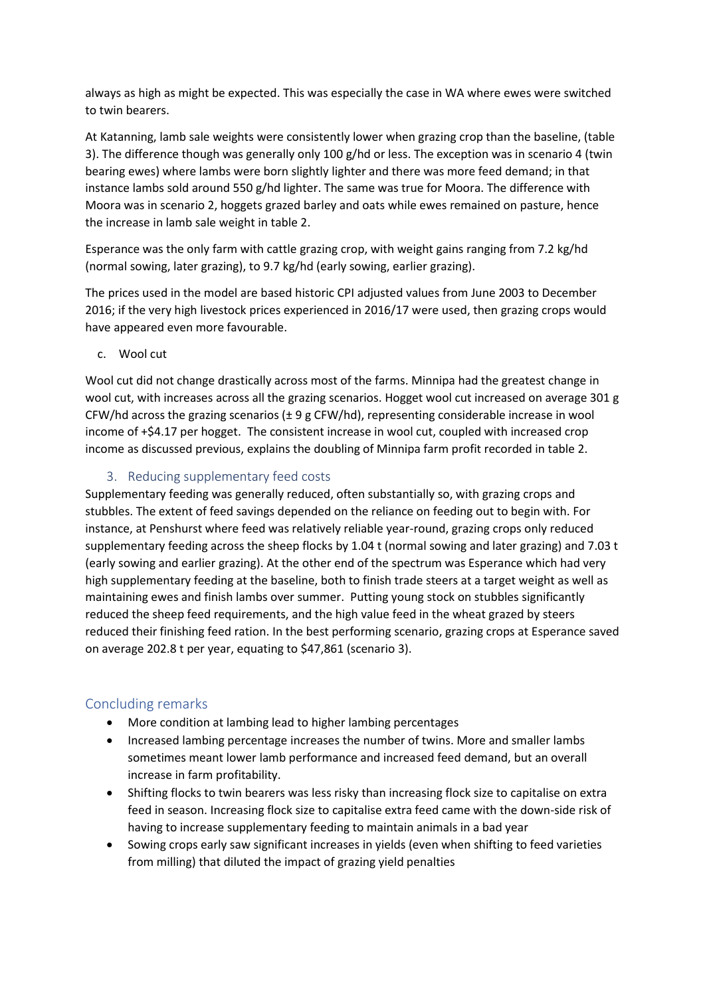always as high as might be expected. This was especially the case in WA where ewes were switched to twin bearers.

At Katanning, lamb sale weights were consistently lower when grazing crop than the baseline, (table 3). The difference though was generally only 100 g/hd or less. The exception was in scenario 4 (twin bearing ewes) where lambs were born slightly lighter and there was more feed demand; in that instance lambs sold around 550 g/hd lighter. The same was true for Moora. The difference with Moora was in scenario 2, hoggets grazed barley and oats while ewes remained on pasture, hence the increase in lamb sale weight in table 2.

Esperance was the only farm with cattle grazing crop, with weight gains ranging from 7.2 kg/hd (normal sowing, later grazing), to 9.7 kg/hd (early sowing, earlier grazing).

The prices used in the model are based historic CPI adjusted values from June 2003 to December 2016; if the very high livestock prices experienced in 2016/17 were used, then grazing crops would have appeared even more favourable.

c. Wool cut

Wool cut did not change drastically across most of the farms. Minnipa had the greatest change in wool cut, with increases across all the grazing scenarios. Hogget wool cut increased on average 301 g CFW/hd across the grazing scenarios (± 9 g CFW/hd), representing considerable increase in wool income of +\$4.17 per hogget. The consistent increase in wool cut, coupled with increased crop income as discussed previous, explains the doubling of Minnipa farm profit recorded in table 2.

#### 3. Reducing supplementary feed costs

Supplementary feeding was generally reduced, often substantially so, with grazing crops and stubbles. The extent of feed savings depended on the reliance on feeding out to begin with. For instance, at Penshurst where feed was relatively reliable year-round, grazing crops only reduced supplementary feeding across the sheep flocks by 1.04 t (normal sowing and later grazing) and 7.03 t (early sowing and earlier grazing). At the other end of the spectrum was Esperance which had very high supplementary feeding at the baseline, both to finish trade steers at a target weight as well as maintaining ewes and finish lambs over summer. Putting young stock on stubbles significantly reduced the sheep feed requirements, and the high value feed in the wheat grazed by steers reduced their finishing feed ration. In the best performing scenario, grazing crops at Esperance saved on average 202.8 t per year, equating to \$47,861 (scenario 3).

#### Concluding remarks

- More condition at lambing lead to higher lambing percentages
- Increased lambing percentage increases the number of twins. More and smaller lambs sometimes meant lower lamb performance and increased feed demand, but an overall increase in farm profitability.
- Shifting flocks to twin bearers was less risky than increasing flock size to capitalise on extra feed in season. Increasing flock size to capitalise extra feed came with the down-side risk of having to increase supplementary feeding to maintain animals in a bad year
- Sowing crops early saw significant increases in yields (even when shifting to feed varieties from milling) that diluted the impact of grazing yield penalties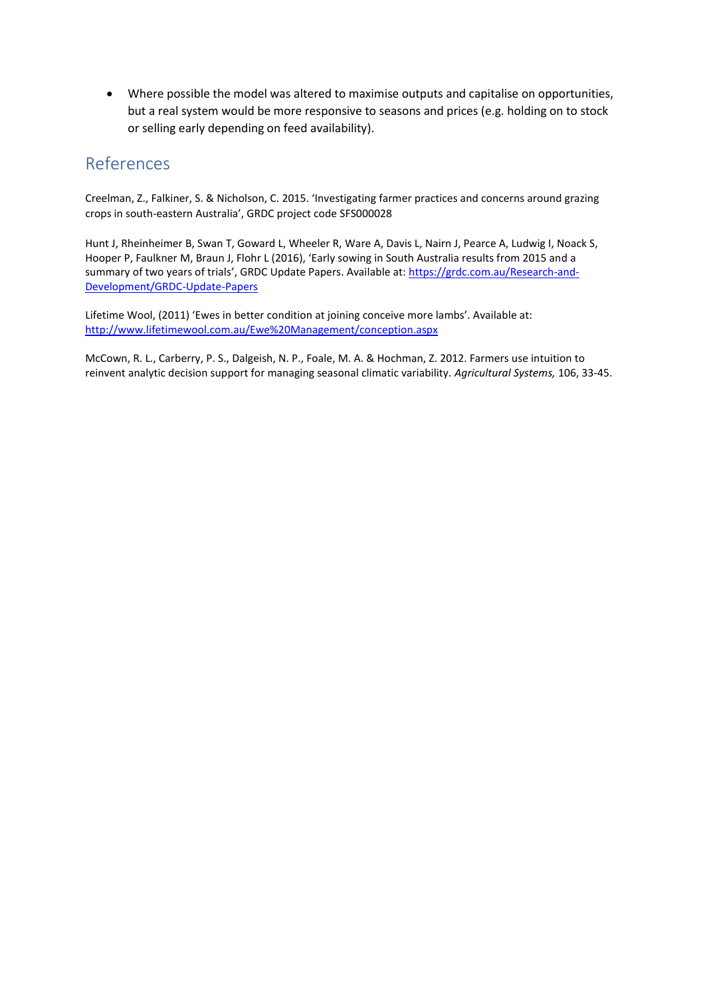• Where possible the model was altered to maximise outputs and capitalise on opportunities, but a real system would be more responsive to seasons and prices (e.g. holding on to stock or selling early depending on feed availability).

### References

Creelman, Z., Falkiner, S. & Nicholson, C. 2015. 'Investigating farmer practices and concerns around grazing crops in south-eastern Australia', GRDC project code SFS000028

Hunt J, Rheinheimer B, Swan T, Goward L, Wheeler R, Ware A, Davis L, Nairn J, Pearce A, Ludwig I, Noack S, Hooper P, Faulkner M, Braun J, Flohr L (2016), '[Early sowing in South Australia results from 2015 and a](https://grdc.com.au/Research-and-Development/GRDC-Update-Papers/2016/02/Early-sowing-in-South-Australia-results-from-2015-and-a-summary-of-two-years-of-trials)  [summary of two years of trials](https://grdc.com.au/Research-and-Development/GRDC-Update-Papers/2016/02/Early-sowing-in-South-Australia-results-from-2015-and-a-summary-of-two-years-of-trials)', GRDC Update Papers. Available at: [https://grdc.com.au/Research-and-](https://grdc.com.au/Research-and-Development/GRDC-Update-Papers)[Development/GRDC-Update-Papers](https://grdc.com.au/Research-and-Development/GRDC-Update-Papers)

Lifetime Wool, (2011) 'Ewes in better condition at joining conceive more lambs'. Available at: <http://www.lifetimewool.com.au/Ewe%20Management/conception.aspx>

McCown, R. L., Carberry, P. S., Dalgeish, N. P., Foale, M. A. & Hochman, Z. 2012. Farmers use intuition to reinvent analytic decision support for managing seasonal climatic variability. *Agricultural Systems,* 106, 33-45.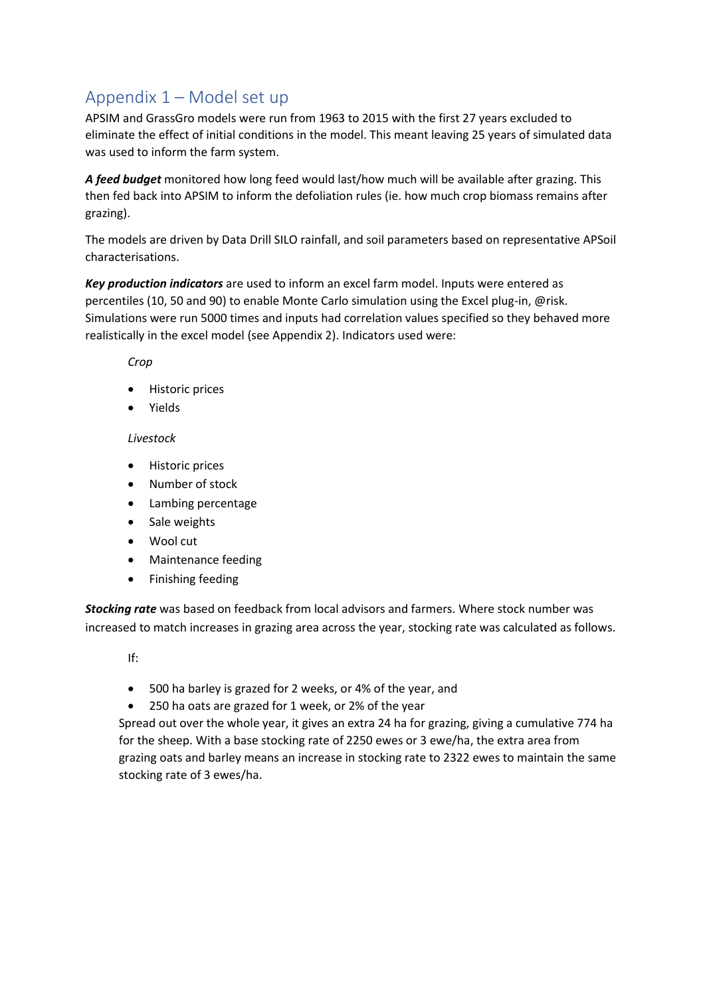## Appendix 1 – Model set up

APSIM and GrassGro models were run from 1963 to 2015 with the first 27 years excluded to eliminate the effect of initial conditions in the model. This meant leaving 25 years of simulated data was used to inform the farm system.

*A feed budget* monitored how long feed would last/how much will be available after grazing. This then fed back into APSIM to inform the defoliation rules (ie. how much crop biomass remains after grazing).

The models are driven by Data Drill SILO rainfall, and soil parameters based on representative APSoil characterisations.

*Key production indicators* are used to inform an excel farm model. Inputs were entered as percentiles (10, 50 and 90) to enable Monte Carlo simulation using the Excel plug-in, @risk. Simulations were run 5000 times and inputs had correlation values specified so they behaved more realistically in the excel model (see Appendix 2). Indicators used were:

*Crop*

- Historic prices
- Yields

#### *Livestock*

- Historic prices
- Number of stock
- Lambing percentage
- Sale weights
- Wool cut
- Maintenance feeding
- Finishing feeding

*Stocking rate* was based on feedback from local advisors and farmers. Where stock number was increased to match increases in grazing area across the year, stocking rate was calculated as follows.

If:

- 500 ha barley is grazed for 2 weeks, or 4% of the year, and
- 250 ha oats are grazed for 1 week, or 2% of the year

Spread out over the whole year, it gives an extra 24 ha for grazing, giving a cumulative 774 ha for the sheep. With a base stocking rate of 2250 ewes or 3 ewe/ha, the extra area from grazing oats and barley means an increase in stocking rate to 2322 ewes to maintain the same stocking rate of 3 ewes/ha.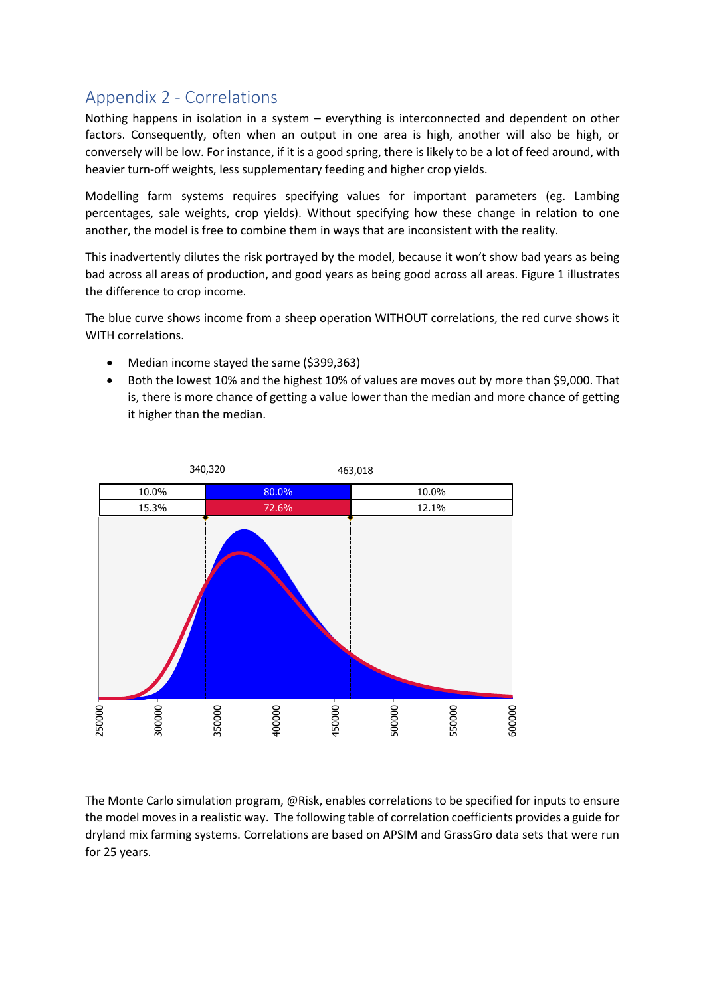## Appendix 2 - Correlations

Nothing happens in isolation in a system – everything is interconnected and dependent on other factors. Consequently, often when an output in one area is high, another will also be high, or conversely will be low. For instance, if it is a good spring, there is likely to be a lot of feed around, with heavier turn-off weights, less supplementary feeding and higher crop yields.

Modelling farm systems requires specifying values for important parameters (eg. Lambing percentages, sale weights, crop yields). Without specifying how these change in relation to one another, the model is free to combine them in ways that are inconsistent with the reality.

This inadvertently dilutes the risk portrayed by the model, because it won't show bad years as being bad across all areas of production, and good years as being good across all areas. Figure 1 illustrates the difference to crop income.

The blue curve shows income from a sheep operation WITHOUT correlations, the red curve shows it WITH correlations.

- Median income stayed the same (\$399,363)
- Both the lowest 10% and the highest 10% of values are moves out by more than \$9,000. That is, there is more chance of getting a value lower than the median and more chance of getting it higher than the median.



The Monte Carlo simulation program, @Risk, enables correlations to be specified for inputs to ensure the model moves in a realistic way. The following table of correlation coefficients provides a guide for dryland mix farming systems. Correlations are based on APSIM and GrassGro data sets that were run for 25 years.